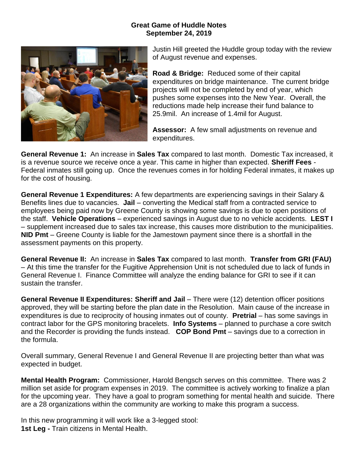## **Great Game of Huddle Notes September 24, 2019**



Justin Hill greeted the Huddle group today with the review of August revenue and expenses.

**Road & Bridge:** Reduced some of their capital expenditures on bridge maintenance. The current bridge projects will not be completed by end of year, which pushes some expenses into the New Year. Overall, the reductions made help increase their fund balance to 25.9mil. An increase of 1.4mil for August.

**Assessor:** A few small adjustments on revenue and expenditures.

**General Revenue 1:** An increase in **Sales Tax** compared to last month. Domestic Tax increased, it is a revenue source we receive once a year. This came in higher than expected. **Sheriff Fees** - Federal inmates still going up. Once the revenues comes in for holding Federal inmates, it makes up for the cost of housing.

**General Revenue 1 Expenditures:** A few departments are experiencing savings in their Salary & Benefits lines due to vacancies. **Jail** – converting the Medical staff from a contracted service to employees being paid now by Greene County is showing some savings is due to open positions of the staff. **Vehicle Operations** – experienced savings in August due to no vehicle accidents. **LEST I** – supplement increased due to sales tax increase, this causes more distribution to the municipalities. **NID Pmt** – Greene County is liable for the Jamestown payment since there is a shortfall in the assessment payments on this property.

**General Revenue II:** An increase in **Sales Tax** compared to last month. **Transfer from GRI (FAU)** – At this time the transfer for the Fugitive Apprehension Unit is not scheduled due to lack of funds in General Revenue I. Finance Committee will analyze the ending balance for GRI to see if it can sustain the transfer.

**General Revenue II Expenditures: Sheriff and Jail** – There were (12) detention officer positions approved, they will be starting before the plan date in the Resolution. Main cause of the increase in expenditures is due to reciprocity of housing inmates out of county. **Pretrial** – has some savings in contract labor for the GPS monitoring bracelets. **Info Systems** – planned to purchase a core switch and the Recorder is providing the funds instead. **COP Bond Pmt** – savings due to a correction in the formula.

Overall summary, General Revenue I and General Revenue II are projecting better than what was expected in budget.

**Mental Health Program:** Commissioner, Harold Bengsch serves on this committee. There was 2 million set aside for program expenses in 2019. The committee is actively working to finalize a plan for the upcoming year. They have a goal to program something for mental health and suicide. There are a 28 organizations within the community are working to make this program a success.

In this new programming it will work like a 3-legged stool: **1st Leg -** Train citizens in Mental Health.